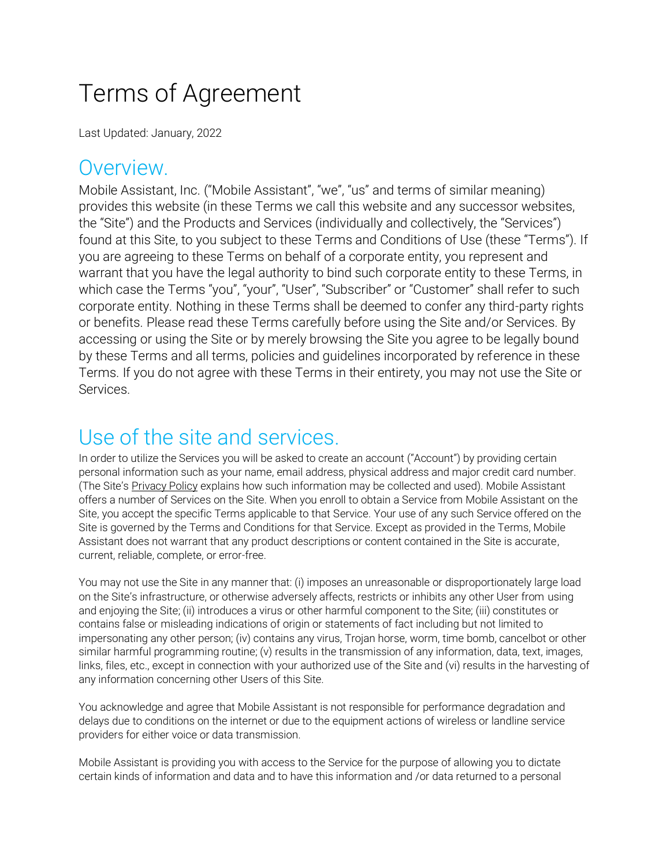# Terms of Agreement

Last Updated: January, 2022

#### Overview.

Mobile Assistant, Inc. ("Mobile Assistant", "we", "us" and terms of similar meaning) provides this website (in these Terms we call this website and any successor websites, the "Site") and the Products and Services (individually and collectively, the "Services") found at this Site, to you subject to these Terms and Conditions of Use (these "Terms"). If you are agreeing to these Terms on behalf of a corporate entity, you represent and warrant that you have the legal authority to bind such corporate entity to these Terms, in which case the Terms "you", "your", "User", "Subscriber" or "Customer" shall refer to such corporate entity. Nothing in these Terms shall be deemed to confer any third-party rights or benefits. Please read these Terms carefully before using the Site and/or Services. By accessing or using the Site or by merely browsing the Site you agree to be legally bound by these Terms and all terms, policies and guidelines incorporated by reference in these Terms. If you do not agree with these Terms in their entirety, you may not use the Site or Services.

#### Use of the site and services.

In order to utilize the Services you will be asked to create an account ("Account") by providing certain personal information such as your name, email address, physical address and major credit card number. (The Site's [Privacy Policy](https://mobileassistant.us/about-us/privacy-security/) explains how such information may be collected and used). Mobile Assistant offers a number of Services on the Site. When you enroll to obtain a Service from Mobile Assistant on the Site, you accept the specific Terms applicable to that Service. Your use of any such Service offered on the Site is governed by the Terms and Conditions for that Service. Except as provided in the Terms, Mobile Assistant does not warrant that any product descriptions or content contained in the Site is accurate, current, reliable, complete, or error-free.

You may not use the Site in any manner that: (i) imposes an unreasonable or disproportionately large load on the Site's infrastructure, or otherwise adversely affects, restricts or inhibits any other User from using and enjoying the Site; (ii) introduces a virus or other harmful component to the Site; (iii) constitutes or contains false or misleading indications of origin or statements of fact including but not limited to impersonating any other person; (iv) contains any virus, Trojan horse, worm, time bomb, cancelbot or other similar harmful programming routine; (v) results in the transmission of any information, data, text, images, links, files, etc., except in connection with your authorized use of the Site and (vi) results in the harvesting of any information concerning other Users of this Site.

You acknowledge and agree that Mobile Assistant is not responsible for performance degradation and delays due to conditions on the internet or due to the equipment actions of wireless or landline service providers for either voice or data transmission.

Mobile Assistant is providing you with access to the Service for the purpose of allowing you to dictate certain kinds of information and data and to have this information and /or data returned to a personal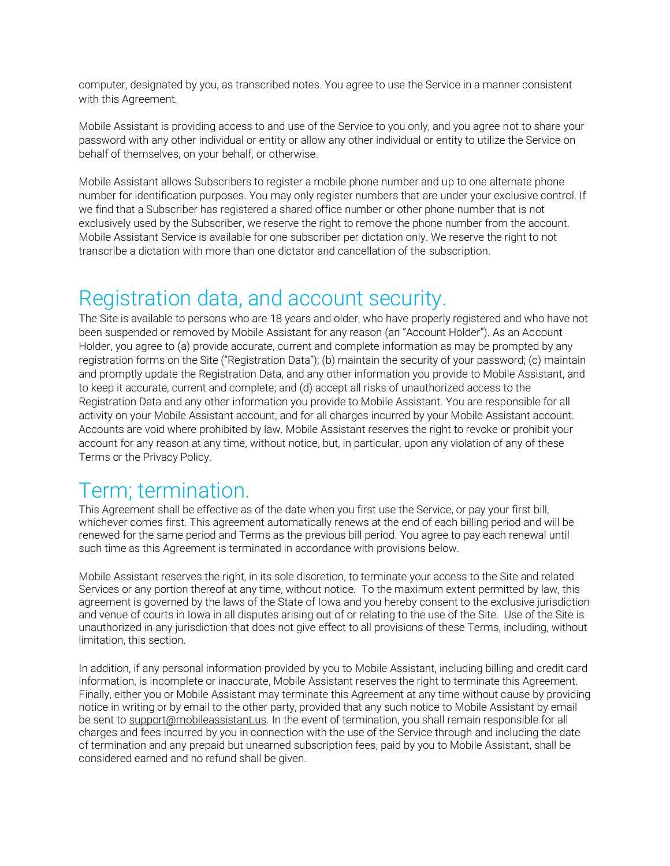computer, designated by you, as transcribed notes. You agree to use the Service in a manner consistent with this Agreement.

Mobile Assistant is providing access to and use of the Service to you only, and you agree not to share your password with any other individual or entity or allow any other individual or entity to utilize the Service on behalf of themselves, on your behalf, or otherwise.

Mobile Assistant allows Subscribers to register a mobile phone number and up to one alternate phone number for identification purposes. You may only register numbers that are under your exclusive control. If we find that a Subscriber has registered a shared office number or other phone number that is not exclusively used by the Subscriber, we reserve the right to remove the phone number from the account. Mobile Assistant Service is available for one subscriber per dictation only. We reserve the right to not transcribe a dictation with more than one dictator and cancellation of the subscription.

#### Registration data, and account security.

The Site is available to persons who are 18 years and older, who have properly registered and who have not been suspended or removed by Mobile Assistant for any reason (an "Account Holder"). As an Account Holder, you agree to (a) provide accurate, current and complete information as may be prompted by any registration forms on the Site ("Registration Data"); (b) maintain the security of your password; (c) maintain and promptly update the Registration Data, and any other information you provide to Mobile Assistant, and to keep it accurate, current and complete; and (d) accept all risks of unauthorized access to the Registration Data and any other information you provide to Mobile Assistant. You are responsible for all activity on your Mobile Assistant account, and for all charges incurred by your Mobile Assistant account. Accounts are void where prohibited by law. Mobile Assistant reserves the right to revoke or prohibit your account for any reason at any time, without notice, but, in particular, upon any violation of any of these Terms or the Privacy Policy.

#### Term; termination.

This Agreement shall be effective as of the date when you first use the Service, or pay your first bill, whichever comes first. This agreement automatically renews at the end of each billing period and will be renewed for the same period and Terms as the previous bill period. You agree to pay each renewal until such time as this Agreement is terminated in accordance with provisions below.

Mobile Assistant reserves the right, in its sole discretion, to terminate your access to the Site and related Services or any portion thereof at any time, without notice. To the maximum extent permitted by law, this agreement is governed by the laws of the State of Iowa and you hereby consent to the exclusive jurisdiction and venue of courts in Iowa in all disputes arising out of or relating to the use of the Site. Use of the Site is unauthorized in any jurisdiction that does not give effect to all provisions of these Terms, including, without limitation, this section.

In addition, if any personal information provided by you to Mobile Assistant, including billing and credit card information, is incomplete or inaccurate, Mobile Assistant reserves the right to terminate this Agreement. Finally, either you or Mobile Assistant may terminate this Agreement at any time without cause by providing notice in writing or by email to the other party, provided that any such notice to Mobile Assistant by email be sent to [support@mobileassistant.us.](mailto:support@mobileassistant.us) In the event of termination, you shall remain responsible for all charges and fees incurred by you in connection with the use of the Service through and including the date of termination and any prepaid but unearned subscription fees, paid by you to Mobile Assistant, shall be considered earned and no refund shall be given.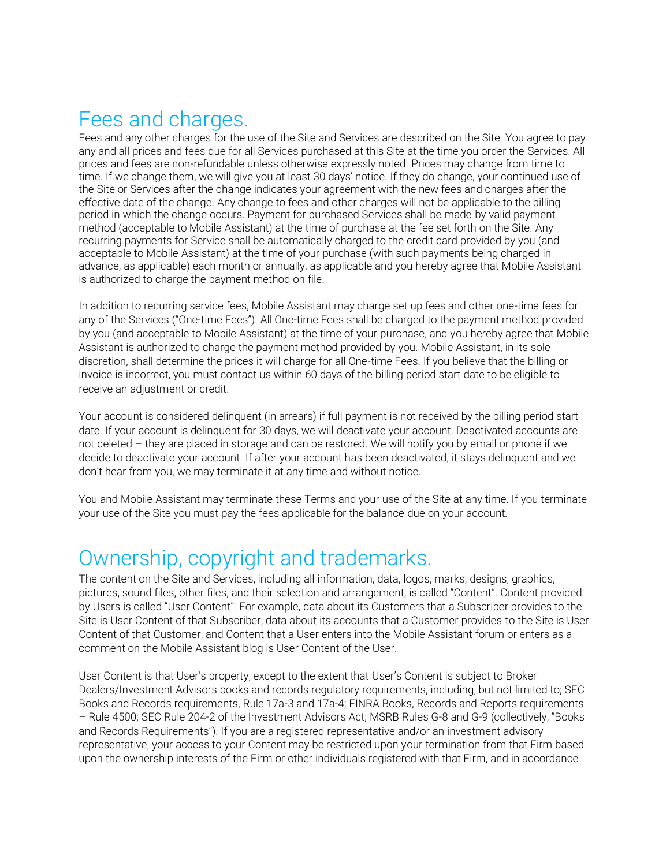#### Fees and charges.

Fees and any other charges for the use of the Site and Services are described on the Site. You agree to pay any and all prices and fees due for all Services purchased at this Site at the time you order the Services. All prices and fees are non-refundable unless otherwise expressly noted. Prices may change from time to time. If we change them, we will give you at least 30 days' notice. If they do change, your continued use of the Site or Services after the change indicates your agreement with the new fees and charges after the effective date of the change. Any change to fees and other charges will not be applicable to the billing period in which the change occurs. Payment for purchased Services shall be made by valid payment method (acceptable to Mobile Assistant) at the time of purchase at the fee set forth on the Site. Any recurring payments for Service shall be automatically charged to the credit card provided by you (and acceptable to Mobile Assistant) at the time of your purchase (with such payments being charged in advance, as applicable) each month or annually, as applicable and you hereby agree that Mobile Assistant is authorized to charge the payment method on file.

In addition to recurring service fees, Mobile Assistant may charge set up fees and other one-time fees for any of the Services ("One-time Fees"). All One-time Fees shall be charged to the payment method provided by you (and acceptable to Mobile Assistant) at the time of your purchase, and you hereby agree that Mobile Assistant is authorized to charge the payment method provided by you. Mobile Assistant, in its sole discretion, shall determine the prices it will charge for all One-time Fees. If you believe that the billing or invoice is incorrect, you must contact us within 60 days of the billing period start date to be eligible to receive an adjustment or credit.

Your account is considered delinquent (in arrears) if full payment is not received by the billing period start date. If your account is delinquent for 30 days, we will deactivate your account. Deactivated accounts are not deleted – they are placed in storage and can be restored. We will notify you by email or phone if we decide to deactivate your account. If after your account has been deactivated, it stays delinquent and we don't hear from you, we may terminate it at any time and without notice.

You and Mobile Assistant may terminate these Terms and your use of the Site at any time. If you terminate your use of the Site you must pay the fees applicable for the balance due on your account.

#### Ownership, copyright and trademarks.

The content on the Site and Services, including all information, data, logos, marks, designs, graphics, pictures, sound files, other files, and their selection and arrangement, is called "Content". Content provided by Users is called "User Content". For example, data about its Customers that a Subscriber provides to the Site is User Content of that Subscriber, data about its accounts that a Customer provides to the Site is User Content of that Customer, and Content that a User enters into the Mobile Assistant forum or enters as a comment on the Mobile Assistant blog is User Content of the User.

User Content is that User's property, except to the extent that User's Content is subject to Broker Dealers/Investment Advisors books and records regulatory requirements, including, but not limited to; SEC Books and Records requirements, Rule 17a-3 and 17a-4; FINRA Books, Records and Reports requirements – Rule 4500; SEC Rule 204-2 of the Investment Advisors Act; MSRB Rules G-8 and G-9 (collectively, "Books and Records Requirements"). If you are a registered representative and/or an investment advisory representative, your access to your Content may be restricted upon your termination from that Firm based upon the ownership interests of the Firm or other individuals registered with that Firm, and in accordance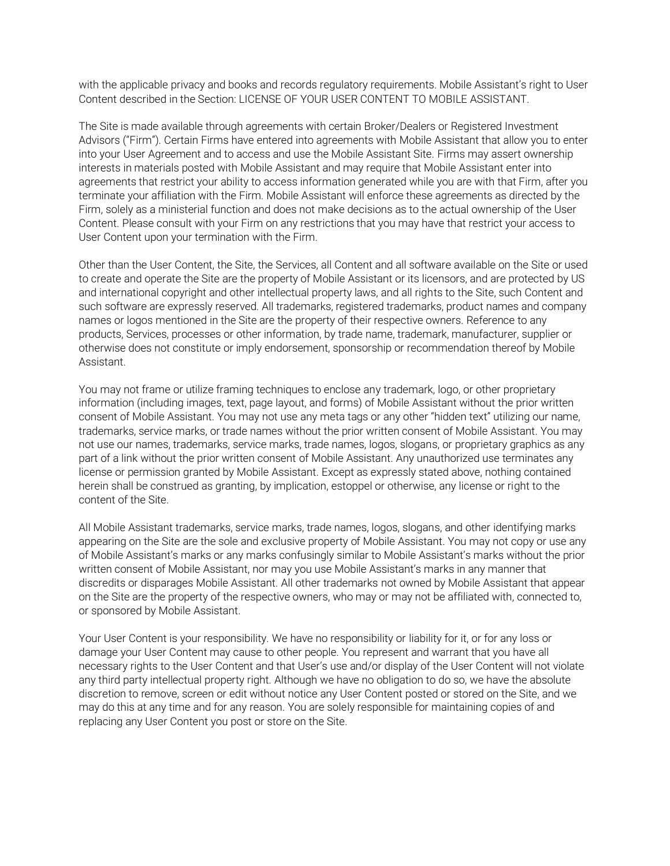with the applicable privacy and books and records regulatory requirements. Mobile Assistant's right to User Content described in the Section: LICENSE OF YOUR USER CONTENT TO MOBILE ASSISTANT.

The Site is made available through agreements with certain Broker/Dealers or Registered Investment Advisors ("Firm"). Certain Firms have entered into agreements with Mobile Assistant that allow you to enter into your User Agreement and to access and use the Mobile Assistant Site. Firms may assert ownership interests in materials posted with Mobile Assistant and may require that Mobile Assistant enter into agreements that restrict your ability to access information generated while you are with that Firm, after you terminate your affiliation with the Firm. Mobile Assistant will enforce these agreements as directed by the Firm, solely as a ministerial function and does not make decisions as to the actual ownership of the User Content. Please consult with your Firm on any restrictions that you may have that restrict your access to User Content upon your termination with the Firm.

Other than the User Content, the Site, the Services, all Content and all software available on the Site or used to create and operate the Site are the property of Mobile Assistant or its licensors, and are protected by US and international copyright and other intellectual property laws, and all rights to the Site, such Content and such software are expressly reserved. All trademarks, registered trademarks, product names and company names or logos mentioned in the Site are the property of their respective owners. Reference to any products, Services, processes or other information, by trade name, trademark, manufacturer, supplier or otherwise does not constitute or imply endorsement, sponsorship or recommendation thereof by Mobile Assistant.

You may not frame or utilize framing techniques to enclose any trademark, logo, or other proprietary information (including images, text, page layout, and forms) of Mobile Assistant without the prior written consent of Mobile Assistant. You may not use any meta tags or any other "hidden text" utilizing our name, trademarks, service marks, or trade names without the prior written consent of Mobile Assistant. You may not use our names, trademarks, service marks, trade names, logos, slogans, or proprietary graphics as any part of a link without the prior written consent of Mobile Assistant. Any unauthorized use terminates any license or permission granted by Mobile Assistant. Except as expressly stated above, nothing contained herein shall be construed as granting, by implication, estoppel or otherwise, any license or right to the content of the Site.

All Mobile Assistant trademarks, service marks, trade names, logos, slogans, and other identifying marks appearing on the Site are the sole and exclusive property of Mobile Assistant. You may not copy or use any of Mobile Assistant's marks or any marks confusingly similar to Mobile Assistant's marks without the prior written consent of Mobile Assistant, nor may you use Mobile Assistant's marks in any manner that discredits or disparages Mobile Assistant. All other trademarks not owned by Mobile Assistant that appear on the Site are the property of the respective owners, who may or may not be affiliated with, connected to, or sponsored by Mobile Assistant.

Your User Content is your responsibility. We have no responsibility or liability for it, or for any loss or damage your User Content may cause to other people. You represent and warrant that you have all necessary rights to the User Content and that User's use and/or display of the User Content will not violate any third party intellectual property right. Although we have no obligation to do so, we have the absolute discretion to remove, screen or edit without notice any User Content posted or stored on the Site, and we may do this at any time and for any reason. You are solely responsible for maintaining copies of and replacing any User Content you post or store on the Site.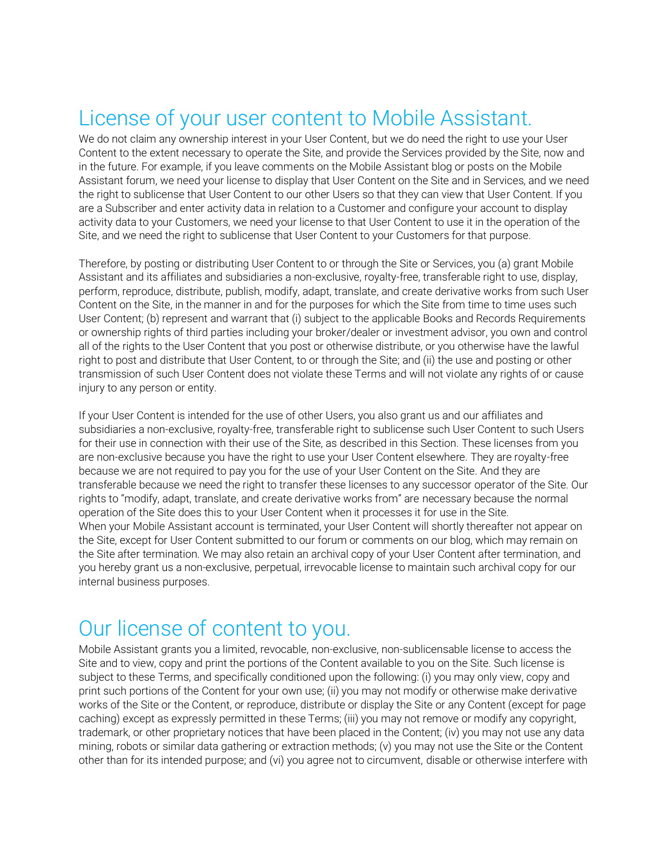### License of your user content to Mobile Assistant.

We do not claim any ownership interest in your User Content, but we do need the right to use your User Content to the extent necessary to operate the Site, and provide the Services provided by the Site, now and in the future. For example, if you leave comments on the Mobile Assistant blog or posts on the Mobile Assistant forum, we need your license to display that User Content on the Site and in Services, and we need the right to sublicense that User Content to our other Users so that they can view that User Content. If you are a Subscriber and enter activity data in relation to a Customer and configure your account to display activity data to your Customers, we need your license to that User Content to use it in the operation of the Site, and we need the right to sublicense that User Content to your Customers for that purpose.

Therefore, by posting or distributing User Content to or through the Site or Services, you (a) grant Mobile Assistant and its affiliates and subsidiaries a non-exclusive, royalty-free, transferable right to use, display, perform, reproduce, distribute, publish, modify, adapt, translate, and create derivative works from such User Content on the Site, in the manner in and for the purposes for which the Site from time to time uses such User Content; (b) represent and warrant that (i) subject to the applicable Books and Records Requirements or ownership rights of third parties including your broker/dealer or investment advisor, you own and control all of the rights to the User Content that you post or otherwise distribute, or you otherwise have the lawful right to post and distribute that User Content, to or through the Site; and (ii) the use and posting or other transmission of such User Content does not violate these Terms and will not violate any rights of or cause injury to any person or entity.

If your User Content is intended for the use of other Users, you also grant us and our affiliates and subsidiaries a non-exclusive, royalty-free, transferable right to sublicense such User Content to such Users for their use in connection with their use of the Site, as described in this Section. These licenses from you are non-exclusive because you have the right to use your User Content elsewhere. They are royalty-free because we are not required to pay you for the use of your User Content on the Site. And they are transferable because we need the right to transfer these licenses to any successor operator of the Site. Our rights to "modify, adapt, translate, and create derivative works from" are necessary because the normal operation of the Site does this to your User Content when it processes it for use in the Site. When your Mobile Assistant account is terminated, your User Content will shortly thereafter not appear on the Site, except for User Content submitted to our forum or comments on our blog, which may remain on the Site after termination. We may also retain an archival copy of your User Content after termination, and you hereby grant us a non-exclusive, perpetual, irrevocable license to maintain such archival copy for our internal business purposes.

### Our license of content to you.

Mobile Assistant grants you a limited, revocable, non-exclusive, non-sublicensable license to access the Site and to view, copy and print the portions of the Content available to you on the Site. Such license is subject to these Terms, and specifically conditioned upon the following: (i) you may only view, copy and print such portions of the Content for your own use; (ii) you may not modify or otherwise make derivative works of the Site or the Content, or reproduce, distribute or display the Site or any Content (except for page caching) except as expressly permitted in these Terms; (iii) you may not remove or modify any copyright, trademark, or other proprietary notices that have been placed in the Content; (iv) you may not use any data mining, robots or similar data gathering or extraction methods; (v) you may not use the Site or the Content other than for its intended purpose; and (vi) you agree not to circumvent, disable or otherwise interfere with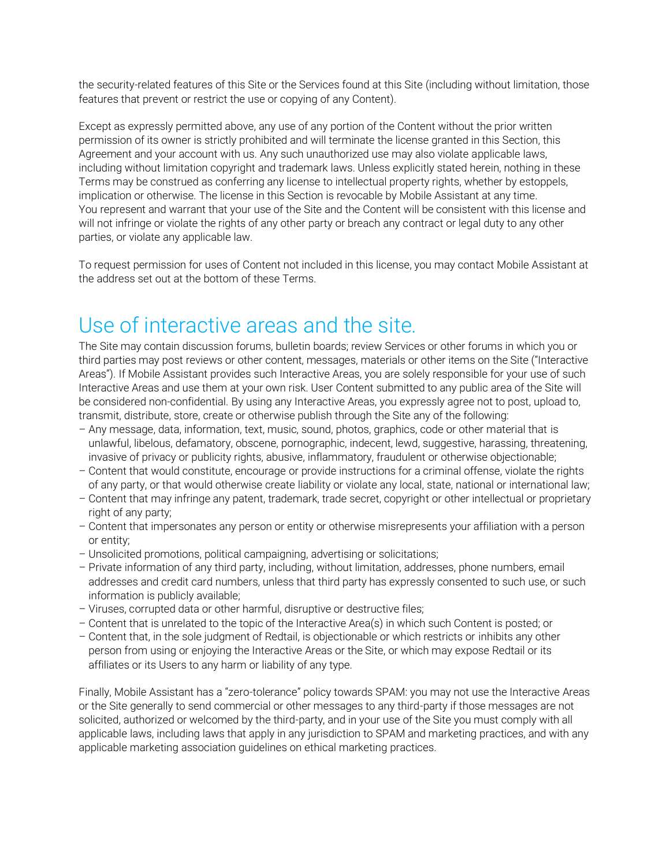the security-related features of this Site or the Services found at this Site (including without limitation, those features that prevent or restrict the use or copying of any Content).

Except as expressly permitted above, any use of any portion of the Content without the prior written permission of its owner is strictly prohibited and will terminate the license granted in this Section, this Agreement and your account with us. Any such unauthorized use may also violate applicable laws, including without limitation copyright and trademark laws. Unless explicitly stated herein, nothing in these Terms may be construed as conferring any license to intellectual property rights, whether by estoppels, implication or otherwise. The license in this Section is revocable by Mobile Assistant at any time. You represent and warrant that your use of the Site and the Content will be consistent with this license and will not infringe or violate the rights of any other party or breach any contract or legal duty to any other parties, or violate any applicable law.

To request permission for uses of Content not included in this license, you may contact Mobile Assistant at the address set out at the bottom of these Terms.

#### Use of interactive areas and the site.

The Site may contain discussion forums, bulletin boards; review Services or other forums in which you or third parties may post reviews or other content, messages, materials or other items on the Site ("Interactive Areas"). If Mobile Assistant provides such Interactive Areas, you are solely responsible for your use of such Interactive Areas and use them at your own risk. User Content submitted to any public area of the Site will be considered non-confidential. By using any Interactive Areas, you expressly agree not to post, upload to, transmit, distribute, store, create or otherwise publish through the Site any of the following:

- Any message, data, information, text, music, sound, photos, graphics, code or other material that is unlawful, libelous, defamatory, obscene, pornographic, indecent, lewd, suggestive, harassing, threatening, invasive of privacy or publicity rights, abusive, inflammatory, fraudulent or otherwise objectionable;
- Content that would constitute, encourage or provide instructions for a criminal offense, violate the rights of any party, or that would otherwise create liability or violate any local, state, national or international law;
- Content that may infringe any patent, trademark, trade secret, copyright or other intellectual or proprietary right of any party;
- Content that impersonates any person or entity or otherwise misrepresents your affiliation with a person or entity;
- Unsolicited promotions, political campaigning, advertising or solicitations;
- Private information of any third party, including, without limitation, addresses, phone numbers, email addresses and credit card numbers, unless that third party has expressly consented to such use, or such information is publicly available;
- Viruses, corrupted data or other harmful, disruptive or destructive files;
- Content that is unrelated to the topic of the Interactive Area(s) in which such Content is posted; or
- Content that, in the sole judgment of Redtail, is objectionable or which restricts or inhibits any other person from using or enjoying the Interactive Areas or the Site, or which may expose Redtail or its affiliates or its Users to any harm or liability of any type.

Finally, Mobile Assistant has a "zero-tolerance" policy towards SPAM: you may not use the Interactive Areas or the Site generally to send commercial or other messages to any third-party if those messages are not solicited, authorized or welcomed by the third-party, and in your use of the Site you must comply with all applicable laws, including laws that apply in any jurisdiction to SPAM and marketing practices, and with any applicable marketing association guidelines on ethical marketing practices.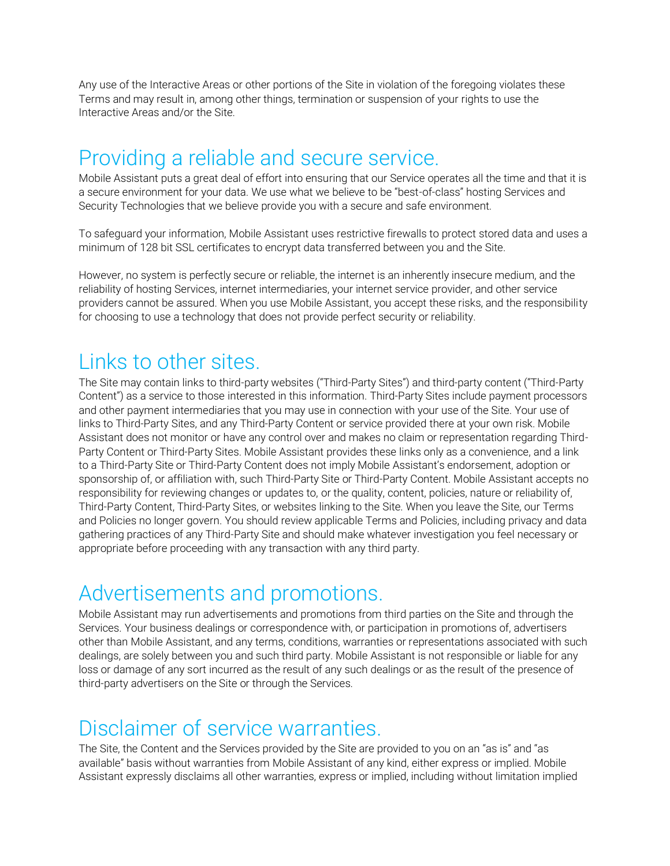Any use of the Interactive Areas or other portions of the Site in violation of the foregoing violates these Terms and may result in, among other things, termination or suspension of your rights to use the Interactive Areas and/or the Site.

#### Providing a reliable and secure service.

Mobile Assistant puts a great deal of effort into ensuring that our Service operates all the time and that it is a secure environment for your data. We use what we believe to be "best-of-class" hosting Services and Security Technologies that we believe provide you with a secure and safe environment.

To safeguard your information, Mobile Assistant uses restrictive firewalls to protect stored data and uses a minimum of 128 bit SSL certificates to encrypt data transferred between you and the Site.

However, no system is perfectly secure or reliable, the internet is an inherently insecure medium, and the reliability of hosting Services, internet intermediaries, your internet service provider, and other service providers cannot be assured. When you use Mobile Assistant, you accept these risks, and the responsibility for choosing to use a technology that does not provide perfect security or reliability.

#### Links to other sites.

The Site may contain links to third-party websites ("Third-Party Sites") and third-party content ("Third-Party Content") as a service to those interested in this information. Third-Party Sites include payment processors and other payment intermediaries that you may use in connection with your use of the Site. Your use of links to Third-Party Sites, and any Third-Party Content or service provided there at your own risk. Mobile Assistant does not monitor or have any control over and makes no claim or representation regarding Third-Party Content or Third-Party Sites. Mobile Assistant provides these links only as a convenience, and a link to a Third-Party Site or Third-Party Content does not imply Mobile Assistant's endorsement, adoption or sponsorship of, or affiliation with, such Third-Party Site or Third-Party Content. Mobile Assistant accepts no responsibility for reviewing changes or updates to, or the quality, content, policies, nature or reliability of, Third-Party Content, Third-Party Sites, or websites linking to the Site. When you leave the Site, our Terms and Policies no longer govern. You should review applicable Terms and Policies, including privacy and data gathering practices of any Third-Party Site and should make whatever investigation you feel necessary or appropriate before proceeding with any transaction with any third party.

### Advertisements and promotions.

Mobile Assistant may run advertisements and promotions from third parties on the Site and through the Services. Your business dealings or correspondence with, or participation in promotions of, advertisers other than Mobile Assistant, and any terms, conditions, warranties or representations associated with such dealings, are solely between you and such third party. Mobile Assistant is not responsible or liable for any loss or damage of any sort incurred as the result of any such dealings or as the result of the presence of third-party advertisers on the Site or through the Services.

#### Disclaimer of service warranties.

The Site, the Content and the Services provided by the Site are provided to you on an "as is" and "as available" basis without warranties from Mobile Assistant of any kind, either express or implied. Mobile Assistant expressly disclaims all other warranties, express or implied, including without limitation implied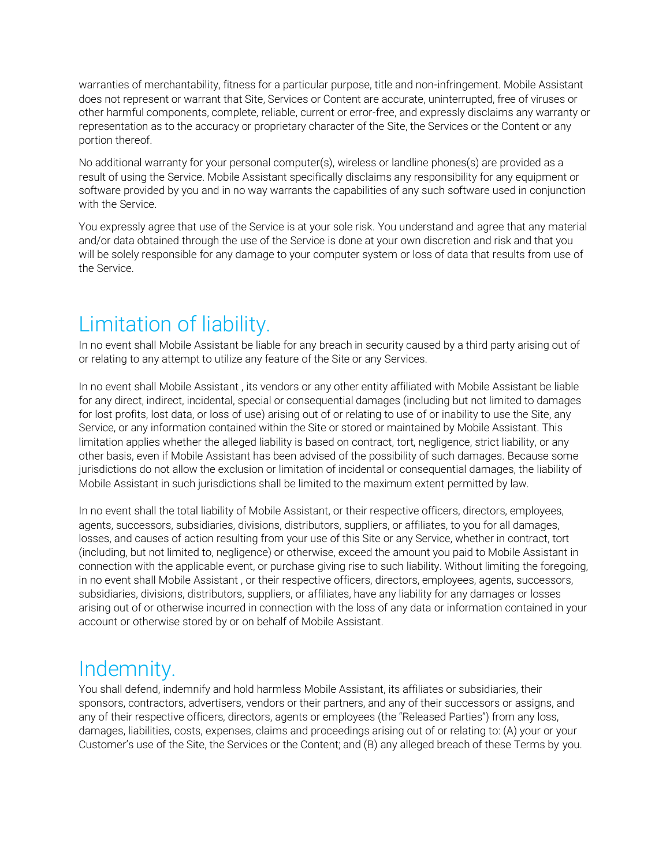warranties of merchantability, fitness for a particular purpose, title and non-infringement. Mobile Assistant does not represent or warrant that Site, Services or Content are accurate, uninterrupted, free of viruses or other harmful components, complete, reliable, current or error-free, and expressly disclaims any warranty or representation as to the accuracy or proprietary character of the Site, the Services or the Content or any portion thereof.

No additional warranty for your personal computer(s), wireless or landline phones(s) are provided as a result of using the Service. Mobile Assistant specifically disclaims any responsibility for any equipment or software provided by you and in no way warrants the capabilities of any such software used in conjunction with the Service.

You expressly agree that use of the Service is at your sole risk. You understand and agree that any material and/or data obtained through the use of the Service is done at your own discretion and risk and that you will be solely responsible for any damage to your computer system or loss of data that results from use of the Service.

### Limitation of liability.

In no event shall Mobile Assistant be liable for any breach in security caused by a third party arising out of or relating to any attempt to utilize any feature of the Site or any Services.

In no event shall Mobile Assistant , its vendors or any other entity affiliated with Mobile Assistant be liable for any direct, indirect, incidental, special or consequential damages (including but not limited to damages for lost profits, lost data, or loss of use) arising out of or relating to use of or inability to use the Site, any Service, or any information contained within the Site or stored or maintained by Mobile Assistant. This limitation applies whether the alleged liability is based on contract, tort, negligence, strict liability, or any other basis, even if Mobile Assistant has been advised of the possibility of such damages. Because some jurisdictions do not allow the exclusion or limitation of incidental or consequential damages, the liability of Mobile Assistant in such jurisdictions shall be limited to the maximum extent permitted by law.

In no event shall the total liability of Mobile Assistant, or their respective officers, directors, employees, agents, successors, subsidiaries, divisions, distributors, suppliers, or affiliates, to you for all damages, losses, and causes of action resulting from your use of this Site or any Service, whether in contract, tort (including, but not limited to, negligence) or otherwise, exceed the amount you paid to Mobile Assistant in connection with the applicable event, or purchase giving rise to such liability. Without limiting the foregoing, in no event shall Mobile Assistant , or their respective officers, directors, employees, agents, successors, subsidiaries, divisions, distributors, suppliers, or affiliates, have any liability for any damages or losses arising out of or otherwise incurred in connection with the loss of any data or information contained in your account or otherwise stored by or on behalf of Mobile Assistant.

#### Indemnity.

You shall defend, indemnify and hold harmless Mobile Assistant, its affiliates or subsidiaries, their sponsors, contractors, advertisers, vendors or their partners, and any of their successors or assigns, and any of their respective officers, directors, agents or employees (the "Released Parties") from any loss, damages, liabilities, costs, expenses, claims and proceedings arising out of or relating to: (A) your or your Customer's use of the Site, the Services or the Content; and (B) any alleged breach of these Terms by you.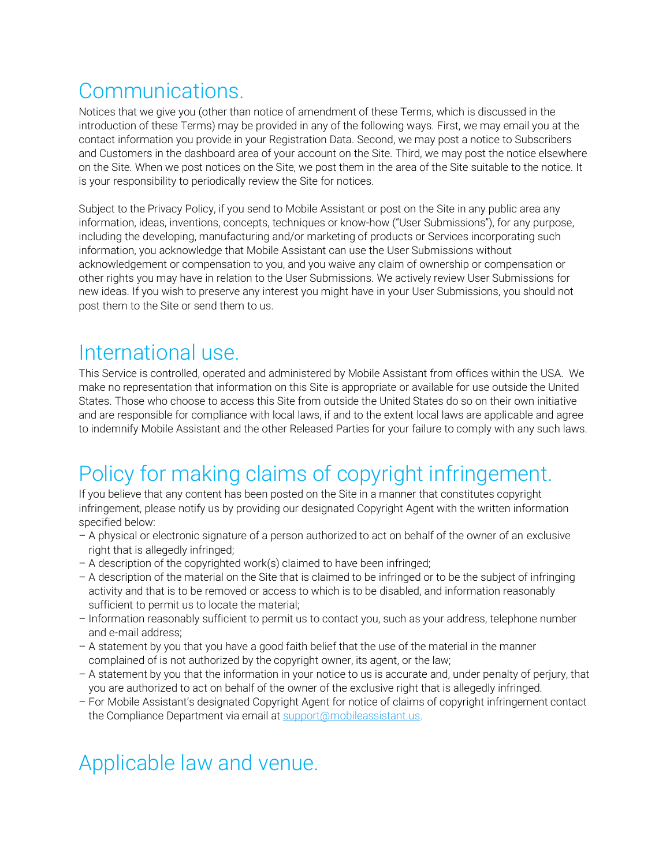### **Communications**

Notices that we give you (other than notice of amendment of these Terms, which is discussed in the introduction of these Terms) may be provided in any of the following ways. First, we may email you at the contact information you provide in your Registration Data. Second, we may post a notice to Subscribers and Customers in the dashboard area of your account on the Site. Third, we may post the notice elsewhere on the Site. When we post notices on the Site, we post them in the area of the Site suitable to the notice. It is your responsibility to periodically review the Site for notices.

Subject to the Privacy Policy, if you send to Mobile Assistant or post on the Site in any public area any information, ideas, inventions, concepts, techniques or know-how ("User Submissions"), for any purpose, including the developing, manufacturing and/or marketing of products or Services incorporating such information, you acknowledge that Mobile Assistant can use the User Submissions without acknowledgement or compensation to you, and you waive any claim of ownership or compensation or other rights you may have in relation to the User Submissions. We actively review User Submissions for new ideas. If you wish to preserve any interest you might have in your User Submissions, you should not post them to the Site or send them to us.

#### International use.

This Service is controlled, operated and administered by Mobile Assistant from offices within the USA. We make no representation that information on this Site is appropriate or available for use outside the United States. Those who choose to access this Site from outside the United States do so on their own initiative and are responsible for compliance with local laws, if and to the extent local laws are applicable and agree to indemnify Mobile Assistant and the other Released Parties for your failure to comply with any such laws.

# Policy for making claims of copyright infringement.

If you believe that any content has been posted on the Site in a manner that constitutes copyright infringement, please notify us by providing our designated Copyright Agent with the written information specified below:

- A physical or electronic signature of a person authorized to act on behalf of the owner of an exclusive right that is allegedly infringed;
- A description of the copyrighted work(s) claimed to have been infringed;
- A description of the material on the Site that is claimed to be infringed or to be the subject of infringing activity and that is to be removed or access to which is to be disabled, and information reasonably sufficient to permit us to locate the material;
- Information reasonably sufficient to permit us to contact you, such as your address, telephone number and e-mail address;
- A statement by you that you have a good faith belief that the use of the material in the manner complained of is not authorized by the copyright owner, its agent, or the law;
- A statement by you that the information in your notice to us is accurate and, under penalty of perjury, that you are authorized to act on behalf of the owner of the exclusive right that is allegedly infringed.
- For Mobile Assistant's designated Copyright Agent for notice of claims of copyright infringement contact the Compliance Department via email at [support@mobileassistant.us.](mailto:support@redtailtechnology.com)

# Applicable law and venue.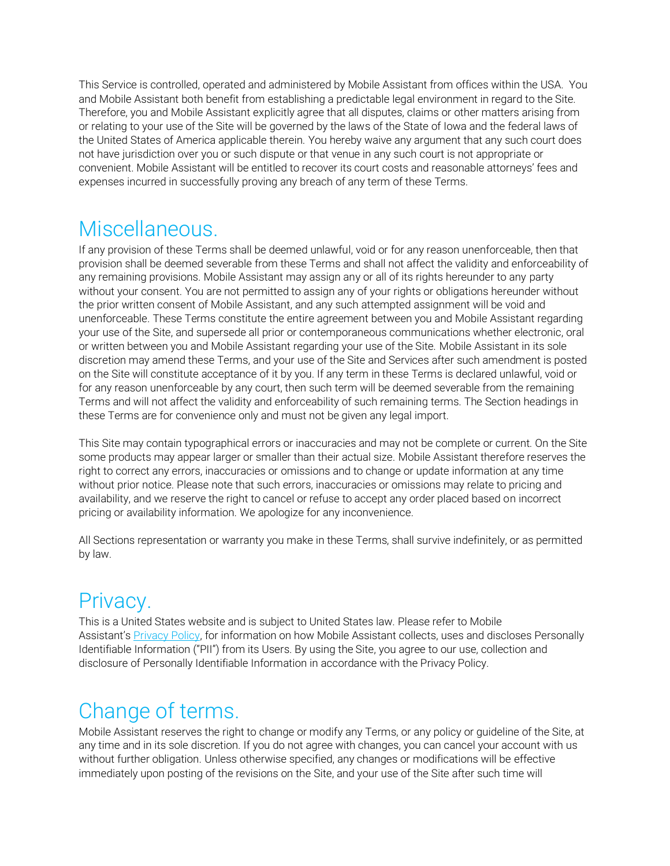This Service is controlled, operated and administered by Mobile Assistant from offices within the USA. You and Mobile Assistant both benefit from establishing a predictable legal environment in regard to the Site. Therefore, you and Mobile Assistant explicitly agree that all disputes, claims or other matters arising from or relating to your use of the Site will be governed by the laws of the State of Iowa and the federal laws of the United States of America applicable therein. You hereby waive any argument that any such court does not have jurisdiction over you or such dispute or that venue in any such court is not appropriate or convenient. Mobile Assistant will be entitled to recover its court costs and reasonable attorneys' fees and expenses incurred in successfully proving any breach of any term of these Terms.

#### Miscellaneous.

If any provision of these Terms shall be deemed unlawful, void or for any reason unenforceable, then that provision shall be deemed severable from these Terms and shall not affect the validity and enforceability of any remaining provisions. Mobile Assistant may assign any or all of its rights hereunder to any party without your consent. You are not permitted to assign any of your rights or obligations hereunder without the prior written consent of Mobile Assistant, and any such attempted assignment will be void and unenforceable. These Terms constitute the entire agreement between you and Mobile Assistant regarding your use of the Site, and supersede all prior or contemporaneous communications whether electronic, oral or written between you and Mobile Assistant regarding your use of the Site. Mobile Assistant in its sole discretion may amend these Terms, and your use of the Site and Services after such amendment is posted on the Site will constitute acceptance of it by you. If any term in these Terms is declared unlawful, void or for any reason unenforceable by any court, then such term will be deemed severable from the remaining Terms and will not affect the validity and enforceability of such remaining terms. The Section headings in these Terms are for convenience only and must not be given any legal import.

This Site may contain typographical errors or inaccuracies and may not be complete or current. On the Site some products may appear larger or smaller than their actual size. Mobile Assistant therefore reserves the right to correct any errors, inaccuracies or omissions and to change or update information at any time without prior notice. Please note that such errors, inaccuracies or omissions may relate to pricing and availability, and we reserve the right to cancel or refuse to accept any order placed based on incorrect pricing or availability information. We apologize for any inconvenience.

All Sections representation or warranty you make in these Terms, shall survive indefinitely, or as permitted by law.

### Privacy.

This is a United States website and is subject to United States law. Please refer to Mobile Assistant's **[Privacy Policy,](https://mobileassistant.us/mobile-assistant-privacy-policy-2019/) for information on how Mobile Assistant collects, uses and discloses Personally** Identifiable Information ("PII") from its Users. By using the Site, you agree to our use, collection and disclosure of Personally Identifiable Information in accordance with the Privacy Policy.

### Change of terms.

Mobile Assistant reserves the right to change or modify any Terms, or any policy or guideline of the Site, at any time and in its sole discretion. If you do not agree with changes, you can cancel your account with us without further obligation. Unless otherwise specified, any changes or modifications will be effective immediately upon posting of the revisions on the Site, and your use of the Site after such time will